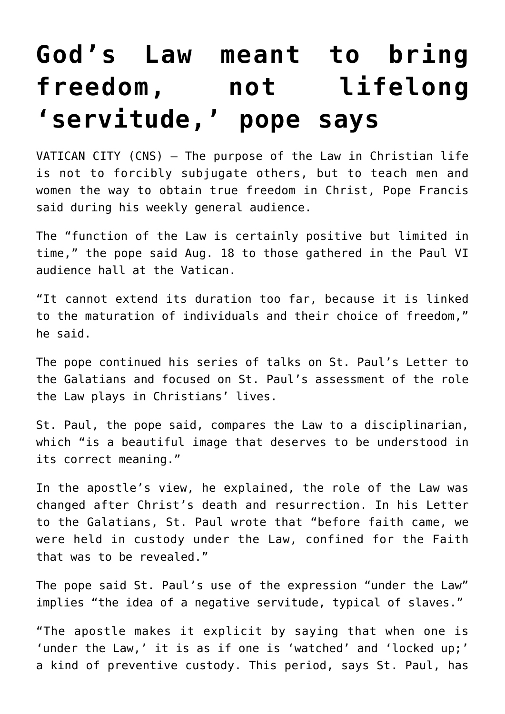## **[God's Law meant to bring](https://www.osvnews.com/2021/08/18/gods-law-meant-to-bring-freedom-not-lifelong-servitude-pope-says/) [freedom, not lifelong](https://www.osvnews.com/2021/08/18/gods-law-meant-to-bring-freedom-not-lifelong-servitude-pope-says/) ['servitude,' pope says](https://www.osvnews.com/2021/08/18/gods-law-meant-to-bring-freedom-not-lifelong-servitude-pope-says/)**

VATICAN CITY (CNS) — The purpose of the Law in Christian life is not to forcibly subjugate others, but to teach men and women the way to obtain true freedom in Christ, Pope Francis said during his weekly general audience.

The "function of the Law is certainly positive but limited in time," the pope said Aug. 18 to those gathered in the Paul VI audience hall at the Vatican.

"It cannot extend its duration too far, because it is linked to the maturation of individuals and their choice of freedom," he said.

The pope continued his series of talks on St. Paul's Letter to the Galatians and focused on St. Paul's assessment of the role the Law plays in Christians' lives.

St. Paul, the pope said, compares the Law to a disciplinarian, which "is a beautiful image that deserves to be understood in its correct meaning."

In the apostle's view, he explained, the role of the Law was changed after Christ's death and resurrection. In his Letter to the Galatians, St. Paul wrote that "before faith came, we were held in custody under the Law, confined for the Faith that was to be revealed."

The pope said St. Paul's use of the expression "under the Law" implies "the idea of a negative servitude, typical of slaves."

"The apostle makes it explicit by saying that when one is 'under the Law,' it is as if one is 'watched' and 'locked up;' a kind of preventive custody. This period, says St. Paul, has